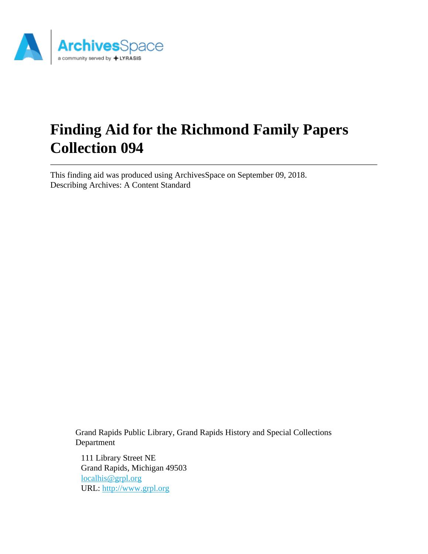

# **Finding Aid for the Richmond Family Papers Collection 094**

This finding aid was produced using ArchivesSpace on September 09, 2018. Describing Archives: A Content Standard

Grand Rapids Public Library, Grand Rapids History and Special Collections Department

111 Library Street NE Grand Rapids, Michigan 49503 [localhis@grpl.org](mailto:localhis@grpl.org) URL:<http://www.grpl.org>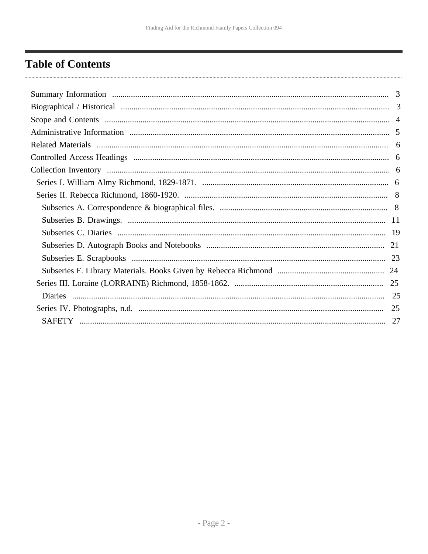## <span id="page-1-0"></span>**Table of Contents**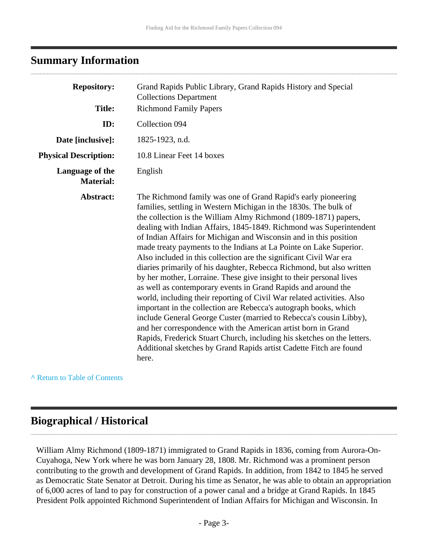## <span id="page-2-0"></span>**Summary Information**

| <b>Repository:</b>                  | Grand Rapids Public Library, Grand Rapids History and Special<br><b>Collections Department</b>                                                                                                                                                                                                                                                                                                                                                                                                                                                                                                                                                                                                                                                                                                                                                                                                                                                                                                                                                                                                                                                               |  |
|-------------------------------------|--------------------------------------------------------------------------------------------------------------------------------------------------------------------------------------------------------------------------------------------------------------------------------------------------------------------------------------------------------------------------------------------------------------------------------------------------------------------------------------------------------------------------------------------------------------------------------------------------------------------------------------------------------------------------------------------------------------------------------------------------------------------------------------------------------------------------------------------------------------------------------------------------------------------------------------------------------------------------------------------------------------------------------------------------------------------------------------------------------------------------------------------------------------|--|
| <b>Title:</b>                       | <b>Richmond Family Papers</b>                                                                                                                                                                                                                                                                                                                                                                                                                                                                                                                                                                                                                                                                                                                                                                                                                                                                                                                                                                                                                                                                                                                                |  |
| ID:                                 | Collection 094                                                                                                                                                                                                                                                                                                                                                                                                                                                                                                                                                                                                                                                                                                                                                                                                                                                                                                                                                                                                                                                                                                                                               |  |
| Date [inclusive]:                   | 1825-1923, n.d.                                                                                                                                                                                                                                                                                                                                                                                                                                                                                                                                                                                                                                                                                                                                                                                                                                                                                                                                                                                                                                                                                                                                              |  |
| <b>Physical Description:</b>        | 10.8 Linear Feet 14 boxes                                                                                                                                                                                                                                                                                                                                                                                                                                                                                                                                                                                                                                                                                                                                                                                                                                                                                                                                                                                                                                                                                                                                    |  |
| Language of the<br><b>Material:</b> | English                                                                                                                                                                                                                                                                                                                                                                                                                                                                                                                                                                                                                                                                                                                                                                                                                                                                                                                                                                                                                                                                                                                                                      |  |
| Abstract:                           | The Richmond family was one of Grand Rapid's early pioneering<br>families, settling in Western Michigan in the 1830s. The bulk of<br>the collection is the William Almy Richmond (1809-1871) papers,<br>dealing with Indian Affairs, 1845-1849. Richmond was Superintendent<br>of Indian Affairs for Michigan and Wisconsin and in this position<br>made treaty payments to the Indians at La Pointe on Lake Superior.<br>Also included in this collection are the significant Civil War era<br>diaries primarily of his daughter, Rebecca Richmond, but also written<br>by her mother, Lorraine. These give insight to their personal lives<br>as well as contemporary events in Grand Rapids and around the<br>world, including their reporting of Civil War related activities. Also<br>important in the collection are Rebecca's autograph books, which<br>include General George Custer (married to Rebecca's cousin Libby),<br>and her correspondence with the American artist born in Grand<br>Rapids, Frederick Stuart Church, including his sketches on the letters.<br>Additional sketches by Grand Rapids artist Cadette Fitch are found<br>here. |  |

**^** [Return to Table of Contents](#page-1-0)

## <span id="page-2-1"></span>**Biographical / Historical**

William Almy Richmond (1809-1871) immigrated to Grand Rapids in 1836, coming from Aurora-On-Cuyahoga, New York where he was born January 28, 1808. Mr. Richmond was a prominent person contributing to the growth and development of Grand Rapids. In addition, from 1842 to 1845 he served as Democratic State Senator at Detroit. During his time as Senator, he was able to obtain an appropriation of 6,000 acres of land to pay for construction of a power canal and a bridge at Grand Rapids. In 1845 President Polk appointed Richmond Superintendent of Indian Affairs for Michigan and Wisconsin. In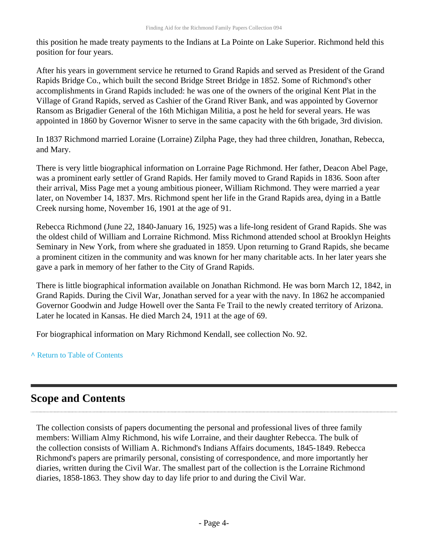this position he made treaty payments to the Indians at La Pointe on Lake Superior. Richmond held this position for four years.

After his years in government service he returned to Grand Rapids and served as President of the Grand Rapids Bridge Co., which built the second Bridge Street Bridge in 1852. Some of Richmond's other accomplishments in Grand Rapids included: he was one of the owners of the original Kent Plat in the Village of Grand Rapids, served as Cashier of the Grand River Bank, and was appointed by Governor Ransom as Brigadier General of the 16th Michigan Militia, a post he held for several years. He was appointed in 1860 by Governor Wisner to serve in the same capacity with the 6th brigade, 3rd division.

In 1837 Richmond married Loraine (Lorraine) Zilpha Page, they had three children, Jonathan, Rebecca, and Mary.

There is very little biographical information on Lorraine Page Richmond. Her father, Deacon Abel Page, was a prominent early settler of Grand Rapids. Her family moved to Grand Rapids in 1836. Soon after their arrival, Miss Page met a young ambitious pioneer, William Richmond. They were married a year later, on November 14, 1837. Mrs. Richmond spent her life in the Grand Rapids area, dying in a Battle Creek nursing home, November 16, 1901 at the age of 91.

Rebecca Richmond (June 22, 1840-January 16, 1925) was a life-long resident of Grand Rapids. She was the oldest child of William and Lorraine Richmond. Miss Richmond attended school at Brooklyn Heights Seminary in New York, from where she graduated in 1859. Upon returning to Grand Rapids, she became a prominent citizen in the community and was known for her many charitable acts. In her later years she gave a park in memory of her father to the City of Grand Rapids.

There is little biographical information available on Jonathan Richmond. He was born March 12, 1842, in Grand Rapids. During the Civil War, Jonathan served for a year with the navy. In 1862 he accompanied Governor Goodwin and Judge Howell over the Santa Fe Trail to the newly created territory of Arizona. Later he located in Kansas. He died March 24, 1911 at the age of 69.

For biographical information on Mary Richmond Kendall, see collection No. 92.

**^** [Return to Table of Contents](#page-1-0)

## <span id="page-3-0"></span>**Scope and Contents**

The collection consists of papers documenting the personal and professional lives of three family members: William Almy Richmond, his wife Lorraine, and their daughter Rebecca. The bulk of the collection consists of William A. Richmond's Indians Affairs documents, 1845-1849. Rebecca Richmond's papers are primarily personal, consisting of correspondence, and more importantly her diaries, written during the Civil War. The smallest part of the collection is the Lorraine Richmond diaries, 1858-1863. They show day to day life prior to and during the Civil War.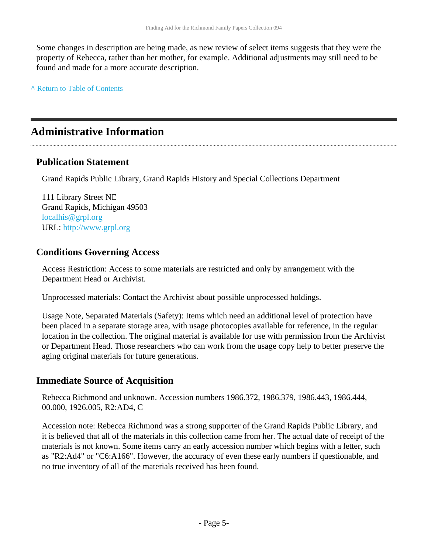Some changes in description are being made, as new review of select items suggests that they were the property of Rebecca, rather than her mother, for example. Additional adjustments may still need to be found and made for a more accurate description.

**^** [Return to Table of Contents](#page-1-0)

## <span id="page-4-0"></span>**Administrative Information**

### **Publication Statement**

Grand Rapids Public Library, Grand Rapids History and Special Collections Department

111 Library Street NE Grand Rapids, Michigan 49503 [localhis@grpl.org](mailto:localhis@grpl.org) URL:<http://www.grpl.org>

### **Conditions Governing Access**

Access Restriction: Access to some materials are restricted and only by arrangement with the Department Head or Archivist.

Unprocessed materials: Contact the Archivist about possible unprocessed holdings.

Usage Note, Separated Materials (Safety): Items which need an additional level of protection have been placed in a separate storage area, with usage photocopies available for reference, in the regular location in the collection. The original material is available for use with permission from the Archivist or Department Head. Those researchers who can work from the usage copy help to better preserve the aging original materials for future generations.

### **Immediate Source of Acquisition**

Rebecca Richmond and unknown. Accession numbers 1986.372, 1986.379, 1986.443, 1986.444, 00.000, 1926.005, R2:AD4, C

Accession note: Rebecca Richmond was a strong supporter of the Grand Rapids Public Library, and it is believed that all of the materials in this collection came from her. The actual date of receipt of the materials is not known. Some items carry an early accession number which begins with a letter, such as "R2:Ad4" or "C6:A166". However, the accuracy of even these early numbers if questionable, and no true inventory of all of the materials received has been found.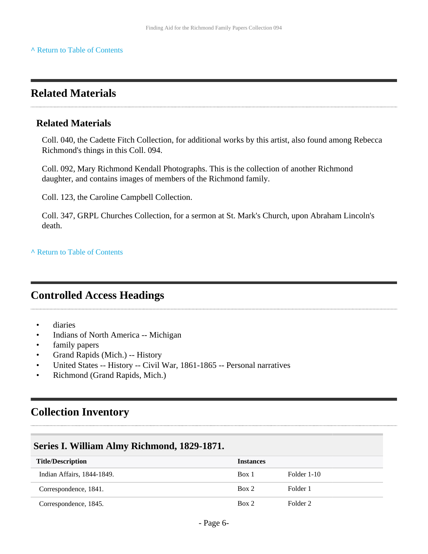## <span id="page-5-0"></span>**Related Materials**

### **Related Materials**

Coll. 040, the Cadette Fitch Collection, for additional works by this artist, also found among Rebecca Richmond's things in this Coll. 094.

Coll. 092, Mary Richmond Kendall Photographs. This is the collection of another Richmond daughter, and contains images of members of the Richmond family.

Coll. 123, the Caroline Campbell Collection.

Coll. 347, GRPL Churches Collection, for a sermon at St. Mark's Church, upon Abraham Lincoln's death.

**^** [Return to Table of Contents](#page-1-0)

## <span id="page-5-1"></span>**Controlled Access Headings**

- diaries
- Indians of North America -- Michigan
- family papers
- Grand Rapids (Mich.) -- History
- United States -- History -- Civil War, 1861-1865 -- Personal narratives
- Richmond (Grand Rapids, Mich.)

## <span id="page-5-2"></span>**Collection Inventory**

### <span id="page-5-3"></span>**Series I. William Almy Richmond, 1829-1871.**

| <b>Title/Description</b>   | <b>Instances</b> |             |
|----------------------------|------------------|-------------|
| Indian Affairs, 1844-1849. | Box 1            | Folder 1-10 |
| Correspondence, 1841.      | Box 2            | Folder 1    |
| Correspondence, 1845.      | Box 2            | Folder 2    |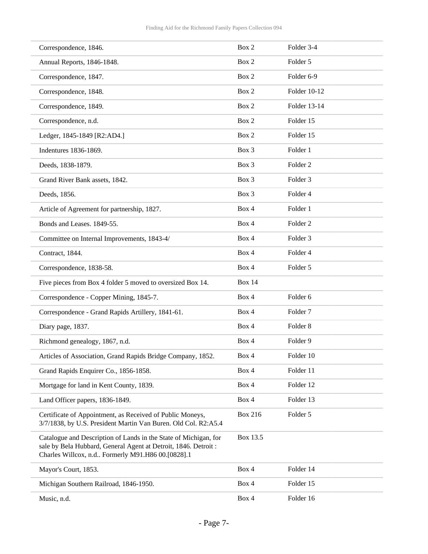| Correspondence, 1846.      |                                                                                                                                                                                         | Box 2          | Folder 3-4          |
|----------------------------|-----------------------------------------------------------------------------------------------------------------------------------------------------------------------------------------|----------------|---------------------|
| Annual Reports, 1846-1848. |                                                                                                                                                                                         | Box 2          | Folder 5            |
| Correspondence, 1847.      |                                                                                                                                                                                         | Box 2          | Folder 6-9          |
| Correspondence, 1848.      |                                                                                                                                                                                         | Box 2          | Folder 10-12        |
| Correspondence, 1849.      |                                                                                                                                                                                         | Box 2          | Folder 13-14        |
| Correspondence, n.d.       |                                                                                                                                                                                         | Box 2          | Folder 15           |
|                            | Ledger, 1845-1849 [R2:AD4.]                                                                                                                                                             | Box 2          | Folder 15           |
| Indentures 1836-1869.      |                                                                                                                                                                                         | Box 3          | Folder 1            |
| Deeds, 1838-1879.          |                                                                                                                                                                                         | Box 3          | Folder <sub>2</sub> |
|                            | Grand River Bank assets, 1842.                                                                                                                                                          | Box 3          | Folder 3            |
| Deeds, 1856.               |                                                                                                                                                                                         | Box 3          | Folder 4            |
|                            | Article of Agreement for partnership, 1827.                                                                                                                                             | Box 4          | Folder 1            |
| Bonds and Leases. 1849-55. |                                                                                                                                                                                         | Box 4          | Folder <sub>2</sub> |
|                            | Committee on Internal Improvements, 1843-4/                                                                                                                                             | Box 4          | Folder 3            |
| Contract, 1844.            |                                                                                                                                                                                         | Box 4          | Folder 4            |
| Correspondence, 1838-58.   |                                                                                                                                                                                         | Box 4          | Folder 5            |
|                            | Five pieces from Box 4 folder 5 moved to oversized Box 14.                                                                                                                              | <b>Box 14</b>  |                     |
|                            | Correspondence - Copper Mining, 1845-7.                                                                                                                                                 | Box 4          | Folder <sub>6</sub> |
|                            | Correspondence - Grand Rapids Artillery, 1841-61.                                                                                                                                       | Box 4          | Folder <sub>7</sub> |
| Diary page, 1837.          |                                                                                                                                                                                         | Box 4          | Folder <sub>8</sub> |
|                            | Richmond genealogy, 1867, n.d.                                                                                                                                                          | Box 4          | Folder 9            |
|                            | Articles of Association, Grand Rapids Bridge Company, 1852.                                                                                                                             | Box 4          | Folder 10           |
|                            | Grand Rapids Enquirer Co., 1856-1858.                                                                                                                                                   | Box 4          | Folder 11           |
|                            | Mortgage for land in Kent County, 1839.                                                                                                                                                 | Box 4          | Folder 12           |
|                            | Land Officer papers, 1836-1849.                                                                                                                                                         | Box 4          | Folder 13           |
|                            | Certificate of Appointment, as Received of Public Moneys,<br>3/7/1838, by U.S. President Martin Van Buren. Old Col. R2:A5.4                                                             | <b>Box 216</b> | Folder 5            |
|                            | Catalogue and Description of Lands in the State of Michigan, for<br>sale by Bela Hubbard, General Agent at Detroit, 1846. Detroit:<br>Charles Willcox, n.d Formerly M91.H86 00.[0828].1 | Box 13.5       |                     |
| Mayor's Court, 1853.       |                                                                                                                                                                                         | Box 4          | Folder 14           |
|                            | Michigan Southern Railroad, 1846-1950.                                                                                                                                                  | Box 4          | Folder 15           |
| Music, n.d.                |                                                                                                                                                                                         | Box 4          | Folder 16           |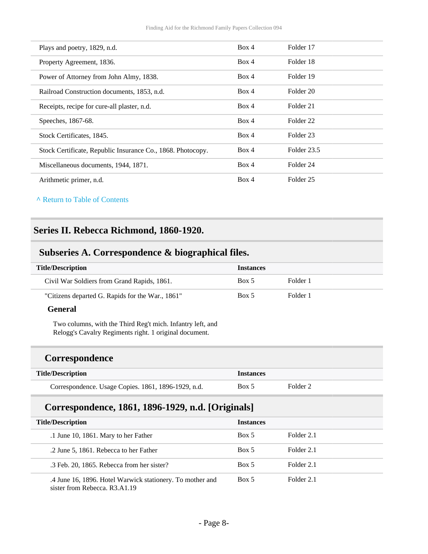| Plays and poetry, 1829, n.d.                                | Box 4 | Folder 17            |
|-------------------------------------------------------------|-------|----------------------|
| Property Agreement, 1836.                                   | Box 4 | Folder 18            |
| Power of Attorney from John Almy, 1838.                     | Box 4 | Folder 19            |
| Railroad Construction documents, 1853, n.d.                 | Box 4 | Folder 20            |
| Receipts, recipe for cure-all plaster, n.d.                 | Box 4 | Folder 21            |
| Speeches, 1867-68.                                          | Box 4 | Folder <sub>22</sub> |
| Stock Certificates, 1845.                                   | Box 4 | Folder 23            |
| Stock Certificate, Republic Insurance Co., 1868. Photocopy. | Box 4 | Folder 23.5          |
| Miscellaneous documents, 1944, 1871.                        | Box 4 | Folder 24            |
| Arithmetic primer, n.d.                                     | Box 4 | Folder <sub>25</sub> |

#### **^** [Return to Table of Contents](#page-1-0)

### <span id="page-7-0"></span>**Series II. Rebecca Richmond, 1860-1920.**

### <span id="page-7-1"></span>**Subseries A. Correspondence & biographical files.**

| <b>Title/Description</b>                         | <b>Instances</b> |          |
|--------------------------------------------------|------------------|----------|
| Civil War Soldiers from Grand Rapids, 1861.      | Box 5            | Folder 1 |
| "Citizens departed G. Rapids for the War., 1861" | Box 5            | Folder 1 |

#### **General**

Two columns, with the Third Reg't mich. Infantry left, and Relogg's Cavalry Regiments right. 1 original document.

#### **Correspondence**

| <b>Title/Description</b>                            | <i>Instances</i> |          |
|-----------------------------------------------------|------------------|----------|
| Correspondence. Usage Copies. 1861, 1896-1929, n.d. | Box 5            | Folder 2 |

### **Correspondence, 1861, 1896-1929, n.d. [Originals]**

| <b>Title/Description</b>                                                                   | <b>Instances</b> |            |  |
|--------------------------------------------------------------------------------------------|------------------|------------|--|
| .1 June 10, 1861. Mary to her Father                                                       | Box 5            | Folder 2.1 |  |
| .2 June 5, 1861. Rebecca to her Father                                                     | Box 5            | Folder 2.1 |  |
| .3 Feb. 20, 1865. Rebecca from her sister?                                                 | Box 5            | Folder 2.1 |  |
| .4 June 16, 1896. Hotel Warwick stationery. To mother and<br>sister from Rebecca, R3.A1.19 | Box 5            | Folder 2.1 |  |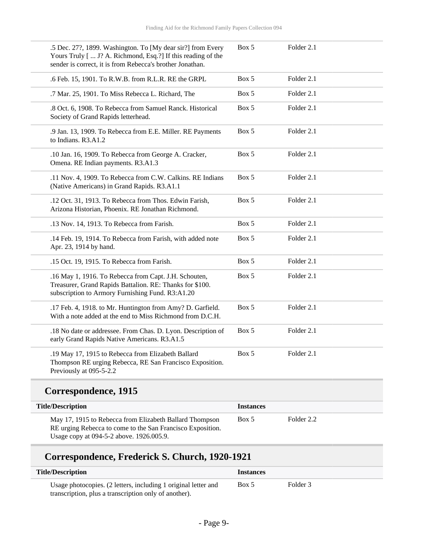| .5 Dec. 27?, 1899. Washington. To [My dear sir?] from Every<br>Yours Truly [  J? A. Richmond, Esq.?] If this reading of the<br>sender is correct, it is from Rebecca's brother Jonathan. | Box 5 | Folder 2.1 |  |
|------------------------------------------------------------------------------------------------------------------------------------------------------------------------------------------|-------|------------|--|
| .6 Feb. 15, 1901. To R.W.B. from R.L.R. RE the GRPL                                                                                                                                      | Box 5 | Folder 2.1 |  |
| .7 Mar. 25, 1901. To Miss Rebecca L. Richard, The                                                                                                                                        | Box 5 | Folder 2.1 |  |
| .8 Oct. 6, 1908. To Rebecca from Samuel Ranck. Historical<br>Society of Grand Rapids letterhead.                                                                                         | Box 5 | Folder 2.1 |  |
| .9 Jan. 13, 1909. To Rebecca from E.E. Miller. RE Payments<br>to Indians. R3.A1.2                                                                                                        | Box 5 | Folder 2.1 |  |
| .10 Jan. 16, 1909. To Rebecca from George A. Cracker,<br>Omena. RE Indian payments. R3.A1.3                                                                                              | Box 5 | Folder 2.1 |  |
| .11 Nov. 4, 1909. To Rebecca from C.W. Calkins. RE Indians<br>(Native Americans) in Grand Rapids. R3.A1.1                                                                                | Box 5 | Folder 2.1 |  |
| .12 Oct. 31, 1913. To Rebecca from Thos. Edwin Farish,<br>Arizona Historian, Phoenix. RE Jonathan Richmond.                                                                              | Box 5 | Folder 2.1 |  |
| .13 Nov. 14, 1913. To Rebecca from Farish.                                                                                                                                               | Box 5 | Folder 2.1 |  |
| .14 Feb. 19, 1914. To Rebecca from Farish, with added note<br>Apr. 23, 1914 by hand.                                                                                                     | Box 5 | Folder 2.1 |  |
| .15 Oct. 19, 1915. To Rebecca from Farish.                                                                                                                                               | Box 5 | Folder 2.1 |  |
| .16 May 1, 1916. To Rebecca from Capt. J.H. Schouten,<br>Treasurer, Grand Rapids Battalion. RE: Thanks for \$100.<br>subscription to Armory Furnishing Fund. R3:A1.20                    | Box 5 | Folder 2.1 |  |
| .17 Feb. 4, 1918. to Mr. Huntington from Amy? D. Garfield.<br>With a note added at the end to Miss Richmond from D.C.H.                                                                  | Box 5 | Folder 2.1 |  |
| .18 No date or addressee. From Chas. D. Lyon. Description of<br>early Grand Rapids Native Americans. R3.A1.5                                                                             | Box 5 | Folder 2.1 |  |
| .19 May 17, 1915 to Rebecca from Elizabeth Ballard<br>Thompson RE urging Rebecca, RE San Francisco Exposition.<br>Previously at 095-5-2.2                                                | Box 5 | Folder 2.1 |  |

## **Correspondence, 1915**

L

| <b>Title/Description</b>                                                                                                                                          | <b>Instances</b> |            |
|-------------------------------------------------------------------------------------------------------------------------------------------------------------------|------------------|------------|
| May 17, 1915 to Rebecca from Elizabeth Ballard Thompson<br>RE urging Rebecca to come to the San Francisco Exposition.<br>Usage copy at 094-5-2 above. 1926.005.9. | Box 5            | Folder 2.2 |

## **Correspondence, Frederick S. Church, 1920-1921**

| <b>Title/Description</b>                                       | <i>Instances</i> |          |  |
|----------------------------------------------------------------|------------------|----------|--|
| Usage photocopies. (2 letters, including 1 original letter and | Box 5            | Folder 3 |  |
| transcription, plus a transcription only of another).          |                  |          |  |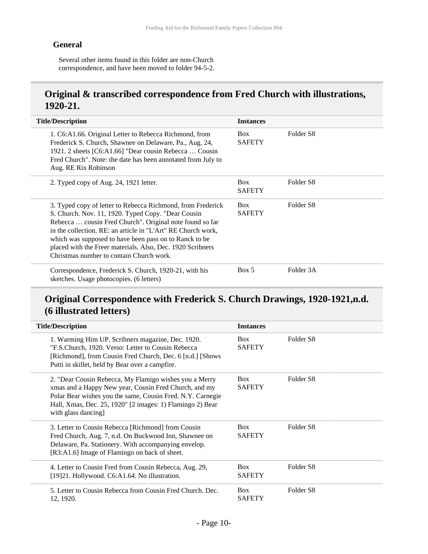#### **General**

Several other items found in this folder are non-Church correspondence, and have been moved to folder 94-5-2.

### **Original & transcribed correspondence from Fred Church with illustrations, 1920-21.**

| <b>Title/Description</b>                                                                                                                                                                                                                                                                                                                                                                                          | <b>Instances</b>            |                       |
|-------------------------------------------------------------------------------------------------------------------------------------------------------------------------------------------------------------------------------------------------------------------------------------------------------------------------------------------------------------------------------------------------------------------|-----------------------------|-----------------------|
| 1. C6:A1.66. Original Letter to Rebecca Richmond, from<br>Frederick S. Church, Shawnee on Delaware, Pa., Aug. 24,<br>1921. 2 sheets [C6:A1.66] "Dear cousin Rebecca  Cousin<br>Fred Church". Note: the date has been annotated from July to<br>Aug. RE Rix Robinson                                                                                                                                               | <b>Box</b><br><b>SAFETY</b> | Folder S <sub>8</sub> |
| 2. Typed copy of Aug. 24, 1921 letter.                                                                                                                                                                                                                                                                                                                                                                            | <b>Box</b><br><b>SAFETY</b> | Folder <sub>S8</sub>  |
| 3. Typed copy of letter to Rebecca Richmond, from Frederick<br>S. Church. Nov. 11, 1920. Typed Copy. "Dear Cousin<br>Rebecca  cousin Fred Church". Original note found so far<br>in the collection. RE: an article in "L'Art" RE Church work,<br>which was supposed to have been pass on to Ranck to be<br>placed with the Freer materials. Also, Dec. 1920 Scribners<br>Christmas number to contain Church work. | <b>Box</b><br><b>SAFETY</b> | Folder S <sub>8</sub> |
| Correspondence, Frederick S. Church, 1920-21, with his<br>sketches. Usage photocopies. (6 letters)                                                                                                                                                                                                                                                                                                                | Box 5                       | Folder 3A             |

## **Original Correspondence with Frederick S. Church Drawings, 1920-1921,n.d. (6 illustrated letters)**

| <b>Title/Description</b>                                                                                                                                                                                                                                          | <b>Instances</b>            |                      |
|-------------------------------------------------------------------------------------------------------------------------------------------------------------------------------------------------------------------------------------------------------------------|-----------------------------|----------------------|
| 1. Warming Him UP. Scribners magazine, Dec. 1920.<br>"F.S.Church, 1920. Verso: Letter to Cousin Rebecca<br>[Richmond], from Cousin Fred Church, Dec. 6 [n.d.] [Shows]<br>Putti in skillet, held by Bear over a campfire.                                          | <b>Box</b><br><b>SAFETY</b> | Folder <sub>S8</sub> |
| 2. "Dear Cousin Rebecca, My Flamigo wishes you a Merry<br>xmas and a Happy New year, Cousin Fred Church, and my<br>Polar Bear wishes you the same, Cousin Fred. N.Y. Carnegie<br>Hall, Xmas, Dec. 25, 1920" [2 images: 1) Flamingo 2) Bear<br>with glass dancing] | <b>Box</b><br><b>SAFETY</b> | Folder <sub>S8</sub> |
| 3. Letter to Cousin Rebecca [Richmond] from Cousin<br>Fred Church, Aug. 7, n.d. On Buckwood Inn, Shawnee on<br>Delaware, Pa. Stationery. With accompanying envelop.<br>[R3:A1.6] Image of Flamingo on back of sheet.                                              | <b>Box</b><br><b>SAFETY</b> | Folder S8            |
| 4. Letter to Cousin Fred from Cousin Rebecca, Aug. 29,<br>[19]21. Hollywood. C6:A1.64. No illustration.                                                                                                                                                           | <b>Box</b><br><b>SAFETY</b> | Folder S8            |
| 5. Letter to Cousin Rebecca from Cousin Fred Church, Dec.<br>12, 1920.                                                                                                                                                                                            | <b>Box</b><br><b>SAFETY</b> | Folder <sub>S8</sub> |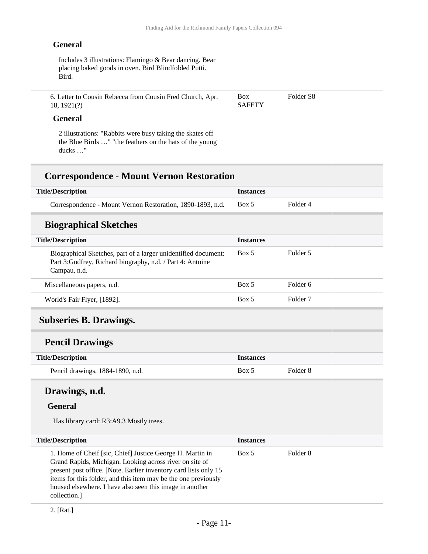Box **SAFETY**  Folder S8

#### **General**

Includes 3 illustrations: Flamingo & Bear dancing. Bear placing baked goods in oven. Bird Blindfolded Putti. Bird.

6. Letter to Cousin Rebecca from Cousin Fred Church, Apr. 18, 1921(?)

#### **General**

2 illustrations: "Rabbits were busy taking the skates off the Blue Birds …" "the feathers on the hats of the young ducks …"

### **Correspondence - Mount Vernon Restoration**

| <b>Title/Description</b>                                   | <i><u><b>Instances</b></u></i> |          |
|------------------------------------------------------------|--------------------------------|----------|
| Correspondence - Mount Vernon Restoration, 1890-1893, n.d. | Box 5                          | Folder 4 |

#### **Biographical Sketches**

| <b>Title/Description</b>                                                                                                                     | <b>Instances</b> |                     |  |
|----------------------------------------------------------------------------------------------------------------------------------------------|------------------|---------------------|--|
| Biographical Sketches, part of a larger unidentified document:<br>Part 3: Godfrey, Richard biography, n.d. / Part 4: Antoine<br>Campau, n.d. | Box 5            | Folder 5            |  |
| Miscellaneous papers, n.d.                                                                                                                   | Box 5            | Folder 6            |  |
| World's Fair Flyer, [1892].                                                                                                                  | Box 5            | Folder <sub>7</sub> |  |

#### <span id="page-10-0"></span>**Subseries B. Drawings.**

#### **Pencil Drawings**

| <b>Title/Description</b>         | <i><u><b>Instances</b></u></i> |          |
|----------------------------------|--------------------------------|----------|
| Pencil drawings, 1884-1890, n.d. | Box 5                          | Folder 8 |

### **Drawings, n.d.**

#### **General**

Has library card: R3:A9.3 Mostly trees.

| <b>Title/Description</b>                                                                                                                                                                                                                                                                                                              | <b>Instances</b> |          |
|---------------------------------------------------------------------------------------------------------------------------------------------------------------------------------------------------------------------------------------------------------------------------------------------------------------------------------------|------------------|----------|
| 1. Home of Cheif [sic, Chief] Justice George H. Martin in<br>Grand Rapids, Michigan. Looking across river on site of<br>present post office. [Note. Earlier inventory card lists only 15<br>items for this folder, and this item may be the one previously<br>housed elsewhere. I have also seen this image in another<br>collection. | Box 5            | Folder 8 |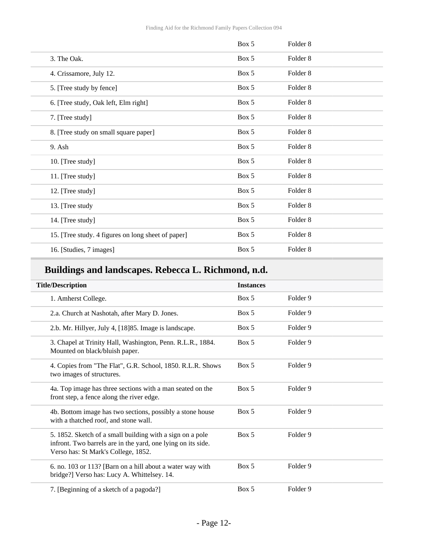|                                                    | Box 5 | Folder 8            |  |
|----------------------------------------------------|-------|---------------------|--|
| 3. The Oak.                                        | Box 5 | Folder <sub>8</sub> |  |
| 4. Crissamore, July 12.                            | Box 5 | Folder 8            |  |
| 5. [Tree study by fence]                           | Box 5 | Folder <sub>8</sub> |  |
| 6. [Tree study, Oak left, Elm right]               | Box 5 | Folder 8            |  |
| 7. [Tree study]                                    | Box 5 | Folder 8            |  |
| 8. [Tree study on small square paper]              | Box 5 | Folder 8            |  |
| 9. Ash                                             | Box 5 | Folder 8            |  |
| 10. [Tree study]                                   | Box 5 | Folder 8            |  |
| 11. [Tree study]                                   | Box 5 | Folder 8            |  |
| 12. [Tree study]                                   | Box 5 | Folder 8            |  |
| 13. [Tree study                                    | Box 5 | Folder 8            |  |
| 14. [Tree study]                                   | Box 5 | Folder 8            |  |
| 15. [Tree study. 4 figures on long sheet of paper] | Box 5 | Folder 8            |  |
| 16. [Studies, 7 images]                            | Box 5 | Folder 8            |  |

## **Buildings and landscapes. Rebecca L. Richmond, n.d.**

| <b>Title/Description</b>                                                                                                                                         | <b>Instances</b> |                     |
|------------------------------------------------------------------------------------------------------------------------------------------------------------------|------------------|---------------------|
| 1. Amherst College.                                                                                                                                              | Box 5            | Folder 9            |
| 2.a. Church at Nashotah, after Mary D. Jones.                                                                                                                    | Box 5            | Folder <sub>9</sub> |
| 2.b. Mr. Hillyer, July 4, [18] 85. Image is landscape.                                                                                                           | Box 5            | Folder 9            |
| 3. Chapel at Trinity Hall, Washington, Penn. R.L.R., 1884.<br>Mounted on black/bluish paper.                                                                     | Box 5            | Folder 9            |
| 4. Copies from "The Flat", G.R. School, 1850. R.L.R. Shows<br>two images of structures.                                                                          | Box 5            | Folder 9            |
| 4a. Top image has three sections with a man seated on the<br>front step, a fence along the river edge.                                                           | Box 5            | Folder 9            |
| 4b. Bottom image has two sections, possibly a stone house<br>with a thatched roof, and stone wall.                                                               | Box 5            | Folder 9            |
| 5. 1852. Sketch of a small building with a sign on a pole<br>infront. Two barrels are in the yard, one lying on its side.<br>Verso has: St Mark's College, 1852. | Box 5            | Folder <sub>9</sub> |
| 6. no. 103 or 113? [Barn on a hill about a water way with<br>bridge?] Verso has: Lucy A. Whittelsey. 14.                                                         | Box 5            | Folder 9            |
| 7. [Beginning of a sketch of a pagoda?]                                                                                                                          | Box 5            | Folder 9            |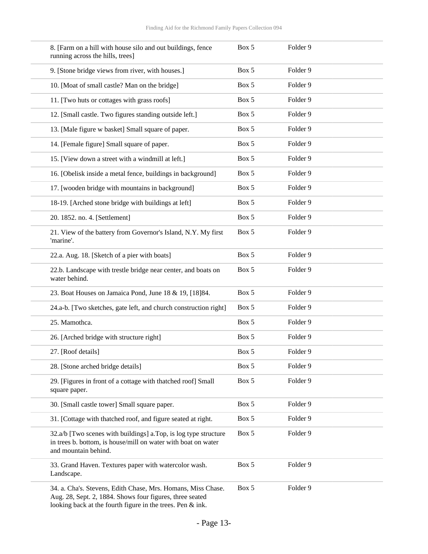| 8. [Farm on a hill with house silo and out buildings, fence<br>running across the hills, trees]                                                                                        | Box 5 | Folder 9            |
|----------------------------------------------------------------------------------------------------------------------------------------------------------------------------------------|-------|---------------------|
| 9. [Stone bridge views from river, with houses.]                                                                                                                                       | Box 5 | Folder 9            |
| 10. [Moat of small castle? Man on the bridge]                                                                                                                                          | Box 5 | Folder 9            |
| 11. [Two huts or cottages with grass roofs]                                                                                                                                            | Box 5 | Folder 9            |
| 12. [Small castle. Two figures standing outside left.]                                                                                                                                 | Box 5 | Folder 9            |
| 13. [Male figure w basket] Small square of paper.                                                                                                                                      | Box 5 | Folder 9            |
| 14. [Female figure] Small square of paper.                                                                                                                                             | Box 5 | Folder 9            |
| 15. [View down a street with a windmill at left.]                                                                                                                                      | Box 5 | Folder 9            |
| 16. [Obelisk inside a metal fence, buildings in background]                                                                                                                            | Box 5 | Folder 9            |
| 17. [wooden bridge with mountains in background]                                                                                                                                       | Box 5 | Folder 9            |
| 18-19. [Arched stone bridge with buildings at left]                                                                                                                                    | Box 5 | Folder 9            |
| 20. 1852. no. 4. [Settlement]                                                                                                                                                          | Box 5 | Folder 9            |
| 21. View of the battery from Governor's Island, N.Y. My first<br>'marine'.                                                                                                             | Box 5 | Folder 9            |
| 22.a. Aug. 18. [Sketch of a pier with boats]                                                                                                                                           | Box 5 | Folder 9            |
| 22.b. Landscape with trestle bridge near center, and boats on<br>water behind.                                                                                                         | Box 5 | Folder 9            |
| 23. Boat Houses on Jamaica Pond, June 18 & 19, [18]84.                                                                                                                                 | Box 5 | Folder 9            |
| 24.a-b. [Two sketches, gate left, and church construction right]                                                                                                                       | Box 5 | Folder 9            |
| 25. Mamothca.                                                                                                                                                                          | Box 5 | Folder 9            |
| 26. [Arched bridge with structure right]                                                                                                                                               | Box 5 | Folder 9            |
| 27. [Roof details]                                                                                                                                                                     | Box 5 | Folder <sub>9</sub> |
| 28. [Stone arched bridge details]                                                                                                                                                      | Box 5 | Folder 9            |
| 29. [Figures in front of a cottage with thatched roof] Small<br>square paper.                                                                                                          | Box 5 | Folder 9            |
| 30. [Small castle tower] Small square paper.                                                                                                                                           | Box 5 | Folder 9            |
| 31. [Cottage with thatched roof, and figure seated at right.                                                                                                                           | Box 5 | Folder 9            |
| 32.a/b [Two scenes with buildings] a.Top, is log type structure<br>in trees b. bottom, is house/mill on water with boat on water<br>and mountain behind.                               | Box 5 | Folder 9            |
| 33. Grand Haven. Textures paper with watercolor wash.<br>Landscape.                                                                                                                    | Box 5 | Folder 9            |
| 34. a. Cha's. Stevens, Edith Chase, Mrs. Homans, Miss Chase.<br>Aug. 28, Sept. 2, 1884. Shows four figures, three seated<br>looking back at the fourth figure in the trees. Pen & ink. | Box 5 | Folder 9            |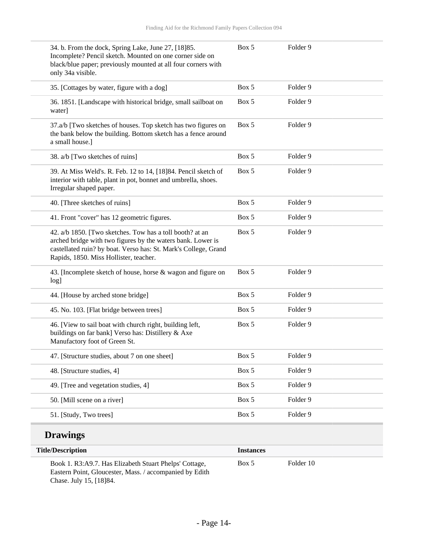| 34. b. From the dock, Spring Lake, June 27, [18] 85.<br>Incomplete? Pencil sketch. Mounted on one corner side on<br>black/blue paper; previously mounted at all four corners with<br>only 34a visible.                               | Box 5 | Folder 9            |
|--------------------------------------------------------------------------------------------------------------------------------------------------------------------------------------------------------------------------------------|-------|---------------------|
| 35. [Cottages by water, figure with a dog]                                                                                                                                                                                           | Box 5 | Folder <sub>9</sub> |
| 36. 1851. [Landscape with historical bridge, small sailboat on<br>water]                                                                                                                                                             | Box 5 | Folder 9            |
| 37.a/b [Two sketches of houses. Top sketch has two figures on<br>the bank below the building. Bottom sketch has a fence around<br>a small house.]                                                                                    | Box 5 | Folder <sub>9</sub> |
| 38. a/b [Two sketches of ruins]                                                                                                                                                                                                      | Box 5 | Folder 9            |
| 39. At Miss Weld's. R. Feb. 12 to 14, [18]84. Pencil sketch of<br>interior with table, plant in pot, bonnet and umbrella, shoes.<br>Irregular shaped paper.                                                                          | Box 5 | Folder 9            |
| 40. [Three sketches of ruins]                                                                                                                                                                                                        | Box 5 | Folder 9            |
| 41. Front "cover" has 12 geometric figures.                                                                                                                                                                                          | Box 5 | Folder 9            |
| 42. a/b 1850. [Two sketches. Tow has a toll booth? at an<br>arched bridge with two figures by the waters bank. Lower is<br>castellated ruin? by boat. Verso has: St. Mark's College, Grand<br>Rapids, 1850. Miss Hollister, teacher. | Box 5 | Folder <sub>9</sub> |
| 43. [Incomplete sketch of house, horse & wagon and figure on<br>log]                                                                                                                                                                 | Box 5 | Folder 9            |
| 44. [House by arched stone bridge]                                                                                                                                                                                                   | Box 5 | Folder 9            |
| 45. No. 103. [Flat bridge between trees]                                                                                                                                                                                             | Box 5 | Folder 9            |
| 46. [View to sail boat with church right, building left,<br>buildings on far bank] Verso has: Distillery & Axe<br>Manufactory foot of Green St.                                                                                      | Box 5 | Folder 9            |
| 47. [Structure studies, about 7 on one sheet]                                                                                                                                                                                        | Box 5 | Folder 9            |
| 48. [Structure studies, 4]                                                                                                                                                                                                           | Box 5 | Folder 9            |
| 49. [Tree and vegetation studies, 4]                                                                                                                                                                                                 | Box 5 | Folder 9            |
| 50. [Mill scene on a river]                                                                                                                                                                                                          | Box 5 | Folder 9            |
| 51. [Study, Two trees]                                                                                                                                                                                                               | Box 5 | Folder 9            |

### **Drawings**

| <b>Title/Description</b>                                                                                                                      | <b>Instances</b> |           |  |
|-----------------------------------------------------------------------------------------------------------------------------------------------|------------------|-----------|--|
| Book 1. R3:A9.7. Has Elizabeth Stuart Phelps' Cottage,<br>Eastern Point, Gloucester, Mass. / accompanied by Edith<br>Chase. July 15, [18] 84. | Box 5            | Folder 10 |  |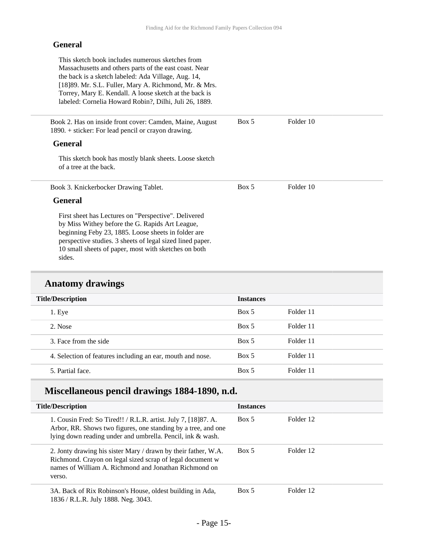#### **General**

This sketch book includes numerous sketches from Massachusetts and others parts of the east coast. Near the back is a sketch labeled: Ada Village, Aug. 14, [18]89. Mr. S.L. Fuller, Mary A. Richmond, Mr. & Mrs. Torrey, Mary E. Kendall. A loose sketch at the back is labeled: Cornelia Howard Robin?, Dilhi, Juli 26, 1889.

Book 2. Has on inside front cover: Camden, Maine, August 1890. + sticker: For lead pencil or crayon drawing. Box 5 Folder 10

Box 5 Folder 10

#### **General**

This sketch book has mostly blank sheets. Loose sketch of a tree at the back.

Book 3. Knickerbocker Drawing Tablet.

#### **General**

First sheet has Lectures on "Perspective". Delivered by Miss Withey before the G. Rapids Art League, beginning Feby 23, 1885. Loose sheets in folder are perspective studies. 3 sheets of legal sized lined paper. 10 small sheets of paper, most with sketches on both sides.

#### **Anatomy drawings**

| <b>Title/Description</b>                                   | <b>Instances</b> |           |
|------------------------------------------------------------|------------------|-----------|
| 1. Eye                                                     | Box 5            | Folder 11 |
| 2. Nose                                                    | Box 5            | Folder 11 |
| 3. Face from the side                                      | Box 5            | Folder 11 |
| 4. Selection of features including an ear, mouth and nose. | Box 5            | Folder 11 |
| 5. Partial face.                                           | Box 5            | Folder 11 |

### **Miscellaneous pencil drawings 1884-1890, n.d.**

| <b>Title/Description</b>                                                                                                                                                                       | <b>Instances</b> |           |
|------------------------------------------------------------------------------------------------------------------------------------------------------------------------------------------------|------------------|-----------|
| 1. Cousin Fred: So Tired!! / R.L.R. artist. July 7, [18] 87. A.<br>Arbor, RR. Shows two figures, one standing by a tree, and one<br>lying down reading under and umbrella. Pencil, ink & wash. | Box 5            | Folder 12 |
| 2. Jonty drawing his sister Mary / drawn by their father, W.A.<br>Richmond. Crayon on legal sized scrap of legal document w<br>names of William A. Richmond and Jonathan Richmond on<br>verso. | Box 5            | Folder 12 |
| 3A. Back of Rix Robinson's House, oldest building in Ada,<br>1836 / R.L.R. July 1888. Neg. 3043.                                                                                               | Box 5            | Folder 12 |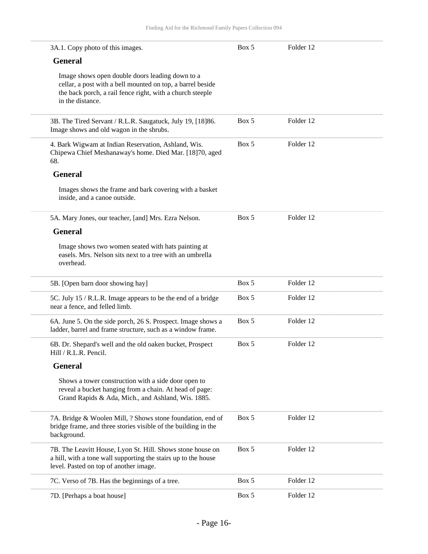| 3A.1. Copy photo of this images.                                                                                                                                                               | Box 5 | Folder 12 |
|------------------------------------------------------------------------------------------------------------------------------------------------------------------------------------------------|-------|-----------|
| <b>General</b>                                                                                                                                                                                 |       |           |
| Image shows open double doors leading down to a<br>cellar, a post with a bell mounted on top, a barrel beside<br>the back porch, a rail fence right, with a church steeple<br>in the distance. |       |           |
| 3B. The Tired Servant / R.L.R. Saugatuck, July 19, [18]86.<br>Image shows and old wagon in the shrubs.                                                                                         | Box 5 | Folder 12 |
| 4. Bark Wigwam at Indian Reservation, Ashland, Wis.<br>Chipewa Chief Meshanaway's home. Died Mar. [18]70, aged<br>68.                                                                          | Box 5 | Folder 12 |
| <b>General</b>                                                                                                                                                                                 |       |           |
| Images shows the frame and bark covering with a basket<br>inside, and a canoe outside.                                                                                                         |       |           |
| 5A. Mary Jones, our teacher, [and] Mrs. Ezra Nelson.                                                                                                                                           | Box 5 | Folder 12 |
| <b>General</b>                                                                                                                                                                                 |       |           |
| Image shows two women seated with hats painting at<br>easels. Mrs. Nelson sits next to a tree with an umbrella<br>overhead.                                                                    |       |           |
| 5B. [Open barn door showing hay]                                                                                                                                                               | Box 5 | Folder 12 |
| 5C. July 15 / R.L.R. Image appears to be the end of a bridge<br>near a fence, and felled limb.                                                                                                 | Box 5 | Folder 12 |
| 6A. June 5. On the side porch, 26 S. Prospect. Image shows a<br>ladder, barrel and frame structure, such as a window frame.                                                                    | Box 5 | Folder 12 |
| 6B. Dr. Shepard's well and the old oaken bucket, Prospect<br>Hill / R.L.R. Pencil.                                                                                                             | Box 5 | Folder 12 |
| <b>General</b>                                                                                                                                                                                 |       |           |
| Shows a tower construction with a side door open to<br>reveal a bucket hanging from a chain. At head of page:<br>Grand Rapids & Ada, Mich., and Ashland, Wis. 1885.                            |       |           |
| 7A. Bridge & Woolen Mill, ? Shows stone foundation, end of<br>bridge frame, and three stories visible of the building in the<br>background.                                                    | Box 5 | Folder 12 |
| 7B. The Leavitt House, Lyon St. Hill. Shows stone house on<br>a hill, with a tone wall supporting the stairs up to the house<br>level. Pasted on top of another image.                         | Box 5 | Folder 12 |
| 7C. Verso of 7B. Has the beginnings of a tree.                                                                                                                                                 | Box 5 | Folder 12 |
| 7D. [Perhaps a boat house]                                                                                                                                                                     | Box 5 | Folder 12 |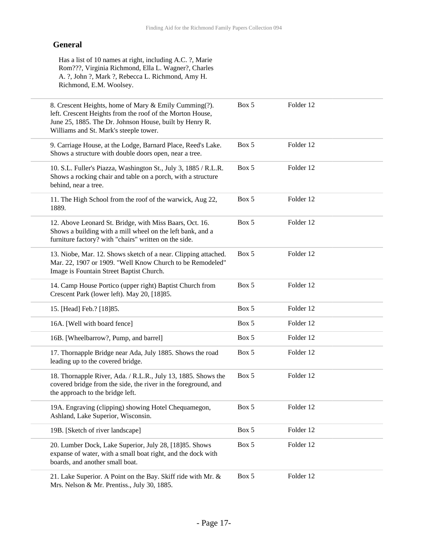#### **General**

Has a list of 10 names at right, including A.C. ?, Marie Rom???, Virginia Richmond, Ella L. Wagner?, Charles A. ?, John ?, Mark ?, Rebecca L. Richmond, Amy H. Richmond, E.M. Woolsey.

| 8. Crescent Heights, home of Mary & Emily Cumming(?).<br>left. Crescent Heights from the roof of the Morton House,<br>June 25, 1885. The Dr. Johnson House, built by Henry R.<br>Williams and St. Mark's steeple tower. | Box 5 | Folder 12 |  |
|-------------------------------------------------------------------------------------------------------------------------------------------------------------------------------------------------------------------------|-------|-----------|--|
| 9. Carriage House, at the Lodge, Barnard Place, Reed's Lake.<br>Shows a structure with double doors open, near a tree.                                                                                                  | Box 5 | Folder 12 |  |
| 10. S.L. Fuller's Piazza, Washington St., July 3, 1885 / R.L.R.<br>Shows a rocking chair and table on a porch, with a structure<br>behind, near a tree.                                                                 | Box 5 | Folder 12 |  |
| 11. The High School from the roof of the warwick, Aug 22,<br>1889.                                                                                                                                                      | Box 5 | Folder 12 |  |
| 12. Above Leonard St. Bridge, with Miss Baars, Oct. 16.<br>Shows a building with a mill wheel on the left bank, and a<br>furniture factory? with "chairs" written on the side.                                          | Box 5 | Folder 12 |  |
| 13. Niobe, Mar. 12. Shows sketch of a near. Clipping attached.<br>Mar. 22, 1907 or 1909. "Well Know Church to be Remodeled"<br>Image is Fountain Street Baptist Church.                                                 | Box 5 | Folder 12 |  |
| 14. Camp House Portico (upper right) Baptist Church from<br>Crescent Park (lower left). May 20, [18]85.                                                                                                                 | Box 5 | Folder 12 |  |
| 15. [Head] Feb.? [18]85.                                                                                                                                                                                                | Box 5 | Folder 12 |  |
| 16A. [Well with board fence]                                                                                                                                                                                            | Box 5 | Folder 12 |  |
| 16B. [Wheelbarrow?, Pump, and barrel]                                                                                                                                                                                   | Box 5 | Folder 12 |  |
| 17. Thornapple Bridge near Ada, July 1885. Shows the road<br>leading up to the covered bridge.                                                                                                                          | Box 5 | Folder 12 |  |
| 18. Thornapple River, Ada. / R.L.R., July 13, 1885. Shows the<br>covered bridge from the side, the river in the foreground, and<br>the approach to the bridge left.                                                     | Box 5 | Folder 12 |  |
| 19A. Engraving (clipping) showing Hotel Chequamegon,<br>Ashland, Lake Superior, Wisconsin.                                                                                                                              | Box 5 | Folder 12 |  |
| 19B. [Sketch of river landscape]                                                                                                                                                                                        | Box 5 | Folder 12 |  |
| 20. Lumber Dock, Lake Superior, July 28, [18] 85. Shows<br>expanse of water, with a small boat right, and the dock with<br>boards, and another small boat.                                                              | Box 5 | Folder 12 |  |
| 21. Lake Superior. A Point on the Bay. Skiff ride with Mr. &<br>Mrs. Nelson & Mr. Prentiss., July 30, 1885.                                                                                                             | Box 5 | Folder 12 |  |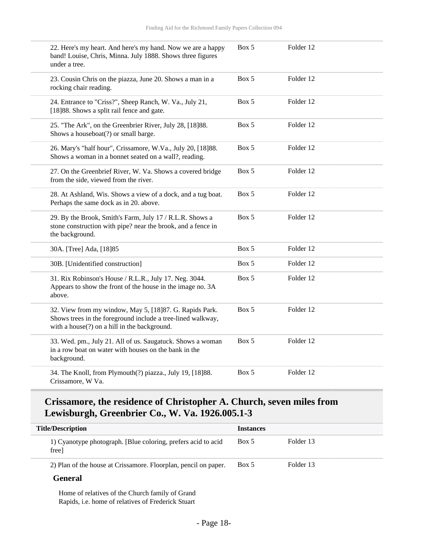| under a tree. | 22. Here's my heart. And here's my hand. Now we are a happy<br>band! Louise, Chris, Minna. July 1888. Shows three figures                                              | Box 5 | Folder 12 |  |
|---------------|------------------------------------------------------------------------------------------------------------------------------------------------------------------------|-------|-----------|--|
|               | 23. Cousin Chris on the piazza, June 20. Shows a man in a<br>rocking chair reading.                                                                                    | Box 5 | Folder 12 |  |
|               | 24. Entrance to "Criss?", Sheep Ranch, W. Va., July 21,<br>[18]88. Shows a split rail fence and gate.                                                                  | Box 5 | Folder 12 |  |
|               | 25. "The Ark", on the Greenbrier River, July 28, [18]88.<br>Shows a houseboat(?) or small barge.                                                                       | Box 5 | Folder 12 |  |
|               | 26. Mary's "half hour", Crissamore, W.Va., July 20, [18]88.<br>Shows a woman in a bonnet seated on a wall?, reading.                                                   | Box 5 | Folder 12 |  |
|               | 27. On the Greenbrief River, W. Va. Shows a covered bridge<br>from the side, viewed from the river.                                                                    | Box 5 | Folder 12 |  |
|               | 28. At Ashland, Wis. Shows a view of a dock, and a tug boat.<br>Perhaps the same dock as in 20. above.                                                                 | Box 5 | Folder 12 |  |
|               | 29. By the Brook, Smith's Farm, July 17 / R.L.R. Shows a<br>stone construction with pipe? near the brook, and a fence in<br>the background.                            | Box 5 | Folder 12 |  |
|               | 30A. [Tree] Ada, [18]85                                                                                                                                                | Box 5 | Folder 12 |  |
|               | 30B. [Unidentified construction]                                                                                                                                       | Box 5 | Folder 12 |  |
| above.        | 31. Rix Robinson's House / R.L.R., July 17. Neg. 3044.<br>Appears to show the front of the house in the image no. 3A                                                   | Box 5 | Folder 12 |  |
|               | 32. View from my window, May 5, [18]87. G. Rapids Park.<br>Shows trees in the foreground include a tree-lined walkway,<br>with a house(?) on a hill in the background. | Box 5 | Folder 12 |  |
| background.   | 33. Wed. pm., July 21. All of us. Saugatuck. Shows a woman<br>in a row boat on water with houses on the bank in the                                                    | Box 5 | Folder 12 |  |
|               | 34. The Knoll, from Plymouth(?) piazza., July 19, [18]88.<br>Crissamore, W Va.                                                                                         | Box 5 | Folder 12 |  |

## **Crissamore, the residence of Christopher A. Church, seven miles from Lewisburgh, Greenbrier Co., W. Va. 1926.005.1-3**

| <b>Title/Description</b> |                                                                                                              | <b>Instances</b> |           |
|--------------------------|--------------------------------------------------------------------------------------------------------------|------------------|-----------|
|                          | 1) Cyanotype photograph. [Blue coloring, prefers acid to acid<br>free                                        | Box 5            | Folder 13 |
|                          | 2) Plan of the house at Crissamore. Floorplan, pencil on paper.                                              | Box 5            | Folder 13 |
|                          | <b>General</b>                                                                                               |                  |           |
|                          | Home of relatives of the Church family of Grand<br>Rapids, <i>i.e.</i> home of relatives of Frederick Stuart |                  |           |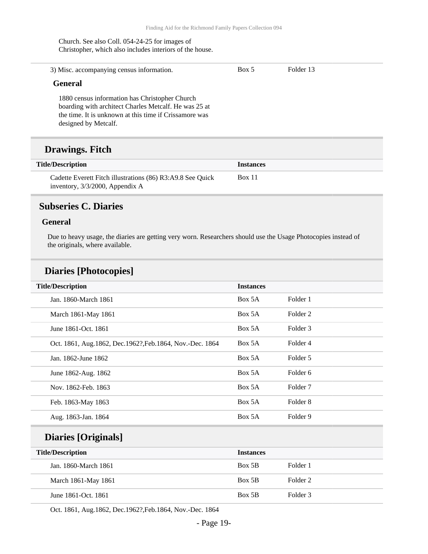Church. See also Coll. 054-24-25 for images of Christopher, which also includes interiors of the house.

| 3) Misc. accompanying census information.                                                                                                                                                 | Box 5 | Folder 13 |  |
|-------------------------------------------------------------------------------------------------------------------------------------------------------------------------------------------|-------|-----------|--|
| <b>General</b>                                                                                                                                                                            |       |           |  |
| 1880 census information has Christopher Church<br>boarding with architect Charles Metcalf. He was 25 at<br>the time. It is unknown at this time if Crissamore was<br>designed by Metcalf. |       |           |  |
| <b>Drawings. Fitch</b>                                                                                                                                                                    |       |           |  |
|                                                                                                                                                                                           |       |           |  |

| <b>Title/Description</b>                                   | <i><u><b>Instances</b></u></i> |
|------------------------------------------------------------|--------------------------------|
| Cadette Everett Fitch illustrations (86) R3:A9.8 See Quick | <b>Box 11</b>                  |
| inventory, 3/3/2000, Appendix A                            |                                |

## <span id="page-18-0"></span>**Subseries C. Diaries**

#### **General**

Due to heavy usage, the diaries are getting very worn. Researchers should use the Usage Photocopies instead of the originals, where available.

### **Diaries [Photocopies]**

| <b>Title/Description</b>                                 | <b>Instances</b> |                     |
|----------------------------------------------------------|------------------|---------------------|
| Jan. 1860-March 1861                                     | Box 5A           | Folder 1            |
| March 1861-May 1861                                      | Box 5A           | Folder 2            |
| June 1861-Oct. 1861                                      | Box 5A           | Folder 3            |
| Oct. 1861, Aug.1862, Dec.1962?, Feb.1864, Nov.-Dec. 1864 | Box 5A           | Folder 4            |
| Jan. 1862-June 1862                                      | Box 5A           | Folder 5            |
| June 1862-Aug. 1862                                      | Box 5A           | Folder 6            |
| Nov. 1862-Feb. 1863                                      | Box 5A           | Folder <sub>7</sub> |
| Feb. 1863-May 1863                                       | Box 5A           | Folder 8            |
| Aug. 1863-Jan. 1864                                      | Box 5A           | Folder 9            |

| <b>Title/Description</b> | <b>Instances</b> |          |
|--------------------------|------------------|----------|
| Jan. 1860-March 1861     | Box 5B           | Folder 1 |
| March 1861-May 1861      | Box 5B           | Folder 2 |
| June 1861-Oct. 1861      | Box 5B           | Folder 3 |

Oct. 1861, Aug.1862, Dec.1962?,Feb.1864, Nov.-Dec. 1864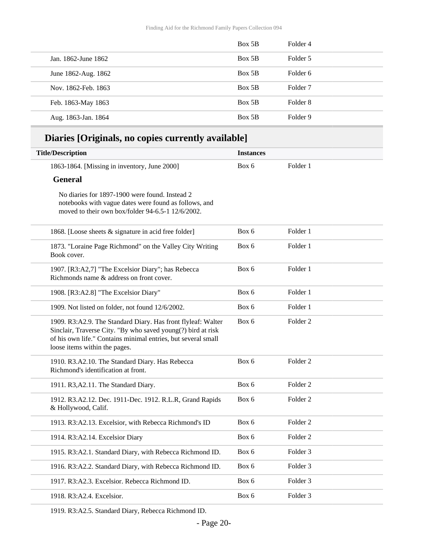|                     | Box 5B | Folder 4 |
|---------------------|--------|----------|
| Jan. 1862-June 1862 | Box 5B | Folder 5 |
| June 1862-Aug. 1862 | Box 5B | Folder 6 |
| Nov. 1862-Feb. 1863 | Box 5B | Folder 7 |
| Feb. 1863-May 1863  | Box 5B | Folder 8 |
| Aug. 1863-Jan. 1864 | Box 5B | Folder 9 |

## **Diaries [Originals, no copies currently available]**

| <b>Title/Description</b>                                                                                                                                                                                                       | <b>Instances</b> |                     |  |
|--------------------------------------------------------------------------------------------------------------------------------------------------------------------------------------------------------------------------------|------------------|---------------------|--|
| 1863-1864. [Missing in inventory, June 2000]                                                                                                                                                                                   | Box 6            | Folder 1            |  |
| <b>General</b>                                                                                                                                                                                                                 |                  |                     |  |
| No diaries for 1897-1900 were found. Instead 2<br>notebooks with vague dates were found as follows, and<br>moved to their own box/folder 94-6.5-1 12/6/2002.                                                                   |                  |                     |  |
| 1868. [Loose sheets & signature in acid free folder]                                                                                                                                                                           | Box 6            | Folder 1            |  |
| 1873. "Loraine Page Richmond" on the Valley City Writing<br>Book cover.                                                                                                                                                        | Box 6            | Folder 1            |  |
| 1907. [R3:A2,7] "The Excelsior Diary"; has Rebecca<br>Richmonds name & address on front cover.                                                                                                                                 | Box 6            | Folder 1            |  |
| 1908. [R3:A2.8] "The Excelsior Diary"                                                                                                                                                                                          | Box 6            | Folder 1            |  |
| 1909. Not listed on folder, not found 12/6/2002.                                                                                                                                                                               | Box 6            | Folder 1            |  |
| 1909. R3:A2.9. The Standard Diary. Has front flyleaf: Walter<br>Sinclair, Traverse City. "By who saved young(?) bird at risk<br>of his own life." Contains minimal entries, but several small<br>loose items within the pages. | Box 6            | Folder <sub>2</sub> |  |
| 1910. R3.A2.10. The Standard Diary. Has Rebecca<br>Richmond's identification at front.                                                                                                                                         | Box 6            | Folder <sub>2</sub> |  |
| 1911. R3, A2.11. The Standard Diary.                                                                                                                                                                                           | Box 6            | Folder <sub>2</sub> |  |
| 1912. R3.A2.12. Dec. 1911-Dec. 1912. R.L.R, Grand Rapids<br>& Hollywood, Calif.                                                                                                                                                | Box 6            | Folder 2            |  |
| 1913. R3:A2.13. Excelsior, with Rebecca Richmond's ID                                                                                                                                                                          | Box 6            | Folder 2            |  |
| 1914. R3:A2.14. Excelsior Diary                                                                                                                                                                                                | Box 6            | Folder 2            |  |
| 1915. R3:A2.1. Standard Diary, with Rebecca Richmond ID.                                                                                                                                                                       | Box 6            | Folder 3            |  |
| 1916. R3:A2.2. Standard Diary, with Rebecca Richmond ID.                                                                                                                                                                       | Box 6            | Folder 3            |  |
| 1917. R3:A2.3. Excelsior. Rebecca Richmond ID.                                                                                                                                                                                 | Box 6            | Folder <sub>3</sub> |  |
| 1918. R3:A2.4. Excelsior.                                                                                                                                                                                                      | Box 6            | Folder 3            |  |

1919. R3:A2.5. Standard Diary, Rebecca Richmond ID.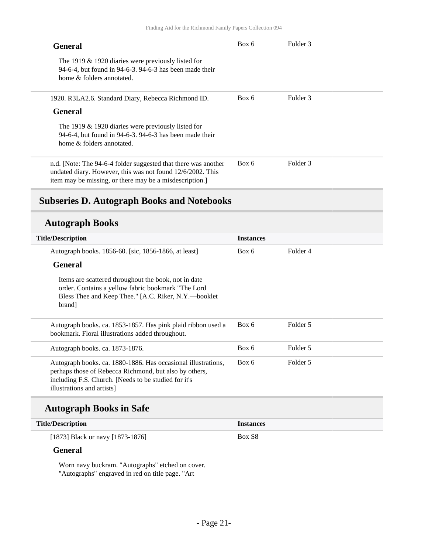| General                                                                                                                                                                                | Box 6 | Folder 3 |
|----------------------------------------------------------------------------------------------------------------------------------------------------------------------------------------|-------|----------|
| The 1919 $\&$ 1920 diaries were previously listed for<br>94-6-4, but found in 94-6-3, 94-6-3 has been made their<br>home & folders annotated.                                          |       |          |
| 1920. R3LA2.6. Standard Diary, Rebecca Richmond ID.                                                                                                                                    | Box 6 | Folder 3 |
| <b>General</b>                                                                                                                                                                         |       |          |
| The 1919 $&$ 1920 diaries were previously listed for<br>94-6-4, but found in 94-6-3, 94-6-3 has been made their<br>home & folders annotated.                                           |       |          |
| n.d. [Note: The 94-6-4 folder suggested that there was another<br>undated diary. However, this was not found 12/6/2002. This<br>item may be missing, or there may be a misdescription. | Box 6 | Folder 3 |

## <span id="page-20-0"></span>**Subseries D. Autograph Books and Notebooks**

#### **Autograph Books**

| <b>Title/Description</b>                                                                                                                                                                                     | <b>Instances</b> |          |
|--------------------------------------------------------------------------------------------------------------------------------------------------------------------------------------------------------------|------------------|----------|
| Autograph books. 1856-60. [sic, 1856-1866, at least]                                                                                                                                                         | Box 6            | Folder 4 |
| <b>General</b>                                                                                                                                                                                               |                  |          |
| Items are scattered throughout the book, not in date<br>order. Contains a yellow fabric bookmark "The Lord<br>Bless Thee and Keep Thee." [A.C. Riker, N.Y.—booklet<br>brand]                                 |                  |          |
| Autograph books. ca. 1853-1857. Has pink plaid ribbon used a<br>bookmark. Floral illustrations added throughout.                                                                                             | Box 6            | Folder 5 |
| Autograph books. ca. 1873-1876.                                                                                                                                                                              | Box 6            | Folder 5 |
| Autograph books. ca. 1880-1886. Has occasional illustrations,<br>perhaps those of Rebecca Richmond, but also by others,<br>including F.S. Church. [Needs to be studied for it's<br>illustrations and artists | Box 6            | Folder 5 |

### **Autograph Books in Safe**

#### **Title/Description Instances**

[1873] Black or navy [1873-1876]

#### **General**

Worn navy buckram. "Autographs" etched on cover. "Autographs" engraved in red on title page. "Art

Box S8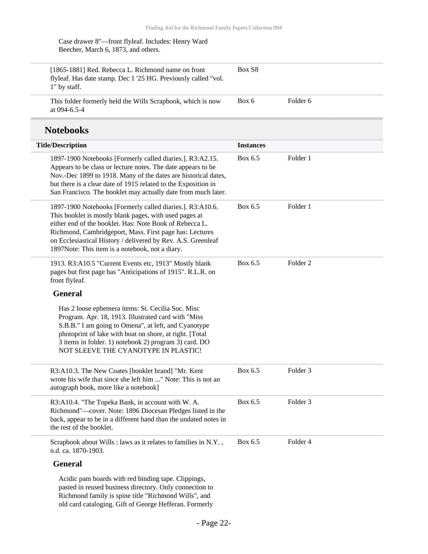| Case drawer 8"-front flyleaf. Includes: Henry Ward |
|----------------------------------------------------|
| Beecher, March 6, 1873, and others.                |

| [1865-1881] Red. Rebecca L. Richmond name on front<br>flyleaf. Has date stamp. Dec 1 '25 HG. Previously called "vol.<br>1" by staff. | Box S <sub>8</sub> |          |
|--------------------------------------------------------------------------------------------------------------------------------------|--------------------|----------|
| This folder formerly held the Wills Scrapbook, which is now<br>at $094 - 6.5 - 4$                                                    | Box 6              | Folder 6 |

## **Notebooks**

| <b>Title/Description</b>                                                                                                                                                                                                                                                                                                                                     | <b>Instances</b> |                     |  |
|--------------------------------------------------------------------------------------------------------------------------------------------------------------------------------------------------------------------------------------------------------------------------------------------------------------------------------------------------------------|------------------|---------------------|--|
| 1897-1900 Notebooks [Formerly called diaries.]. R3:A2.15.<br>Appears to be class or lecture notes. The date appears to be<br>Nov.-Dec 1899 to 1918. Many of the dates are historical dates,<br>but there is a clear date of 1915 related to the Exposition in<br>San Francisco. The booklet may actually date from much later.                               | Box 6.5          | Folder 1            |  |
| 1897-1900 Notebooks [Formerly called diaries.]. R3:A10.6.<br>This booklet is mostly blank pages, with used pages at<br>either end of the booklet. Has: Note Book of Rebecca L.<br>Richmond, Cambridgeport, Mass. First page has: Lectures<br>on Ecclesiastical History / delivered by Rev. A.S. Greenleaf<br>1897Note: This item is a notebook, not a diary. | Box 6.5          | Folder 1            |  |
| 1913. R3:A10.5 "Current Events etc, 1913" Mostly blank<br>pages but first page has "Anticipations of 1915". R.L.R. on<br>front flyleaf.                                                                                                                                                                                                                      | Box 6.5          | Folder <sub>2</sub> |  |
| <b>General</b>                                                                                                                                                                                                                                                                                                                                               |                  |                     |  |
| Has 2 loose ephemera items: St. Cecilia Soc. Misc<br>Program. Apr. 18, 1913. Illustrated card with "Miss<br>S.B.B." I am going to Omena", at left, and Cyanotype<br>photoprint of lake with boat on shore, at right. [Total<br>3 items in folder. 1) notebook 2) program 3) card. DO<br>NOT SLEEVE THE CYANOTYPE IN PLASTIC!                                 |                  |                     |  |
| R3:A10.3. The New Coates [booklet brand] "Mr. Kent<br>wrote his wife that since she left him " Note: This is not an<br>autograph book, more like a notebook]                                                                                                                                                                                                 | Box 6.5          | Folder 3            |  |
| R3:A10.4. "The Topeka Bank, in account with W. A.<br>Richmond"-cover. Note: 1896 Diocesan Pledges listed in the<br>back, appear to be in a different hand than the undated notes in<br>the rest of the booklet.                                                                                                                                              | Box 6.5          | Folder 3            |  |
| Scrapbook about Wills : laws as it relates to families in N.Y.,<br>n.d. ca. 1870-1903.                                                                                                                                                                                                                                                                       | Box 6.5          | Folder 4            |  |
| <b>General</b>                                                                                                                                                                                                                                                                                                                                               |                  |                     |  |
| Acidic pam boards with red binding tape. Clippings,<br>pasted in reused business directory. Only connection to<br>Richmond family is spine title "Richmond Wills", and                                                                                                                                                                                       |                  |                     |  |

old card cataloging. Gift of George Hefferan. Formerly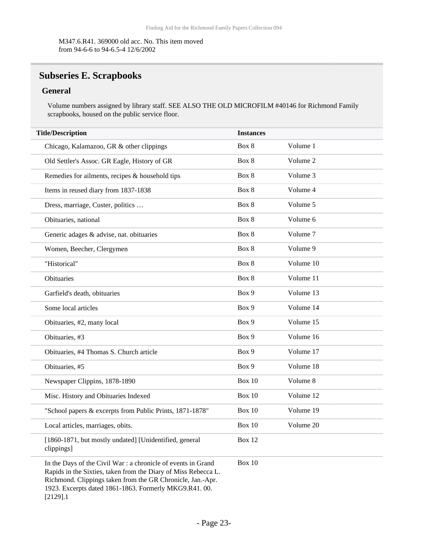M347.6.R41. 369000 old acc. No. This item moved from 94-6-6 to 94-6.5-4 12/6/2002

## <span id="page-22-0"></span>**Subseries E. Scrapbooks**

#### **General**

Volume numbers assigned by library staff. SEE ALSO THE OLD MICROFILM #40146 for Richmond Family scrapbooks, housed on the public service floor.

| <b>Title/Description</b>                                                                                                                                                                      | <b>Instances</b> |           |
|-----------------------------------------------------------------------------------------------------------------------------------------------------------------------------------------------|------------------|-----------|
| Chicago, Kalamazoo, GR & other clippings                                                                                                                                                      | Box 8            | Volume 1  |
| Old Settler's Assoc. GR Eagle, History of GR                                                                                                                                                  | Box 8            | Volume 2  |
| Remedies for ailments, recipes & household tips                                                                                                                                               | Box 8            | Volume 3  |
| Items in reused diary from 1837-1838                                                                                                                                                          | Box 8            | Volume 4  |
| Dress, marriage, Custer, politics                                                                                                                                                             | Box 8            | Volume 5  |
| Obituaries, national                                                                                                                                                                          | Box 8            | Volume 6  |
| Generic adages & advise, nat. obituaries                                                                                                                                                      | Box 8            | Volume 7  |
| Women, Beecher, Clergymen                                                                                                                                                                     | Box 8            | Volume 9  |
| "Historical"                                                                                                                                                                                  | Box 8            | Volume 10 |
| Obituaries                                                                                                                                                                                    | Box 8            | Volume 11 |
| Garfield's death, obituaries                                                                                                                                                                  | Box 9            | Volume 13 |
| Some local articles                                                                                                                                                                           | Box 9            | Volume 14 |
| Obituaries, #2, many local                                                                                                                                                                    | Box 9            | Volume 15 |
| Obituaries, #3                                                                                                                                                                                | Box 9            | Volume 16 |
| Obituaries, #4 Thomas S. Church article                                                                                                                                                       | Box 9            | Volume 17 |
| Obituaries, #5                                                                                                                                                                                | Box 9            | Volume 18 |
| Newspaper Clippins, 1878-1890                                                                                                                                                                 | <b>Box 10</b>    | Volume 8  |
| Misc. History and Obituaries Indexed                                                                                                                                                          | Box 10           | Volume 12 |
| "School papers & excerpts from Public Prints, 1871-1878"                                                                                                                                      | Box 10           | Volume 19 |
| Local articles, marriages, obits.                                                                                                                                                             | Box 10           | Volume 20 |
| [1860-1871, but mostly undated] [Unidentified, general<br>clippings]                                                                                                                          | Box 12           |           |
| In the Days of the Civil War : a chronicle of events in Grand<br>Rapids in the Sixties, taken from the Diary of Miss Rebecca L.<br>Richmond. Clippings taken from the GR Chronicle, Jan.-Apr. | Box 10           |           |

1923. Excerpts dated 1861-1863. Formerly MKG9.R41. 00. [2129].1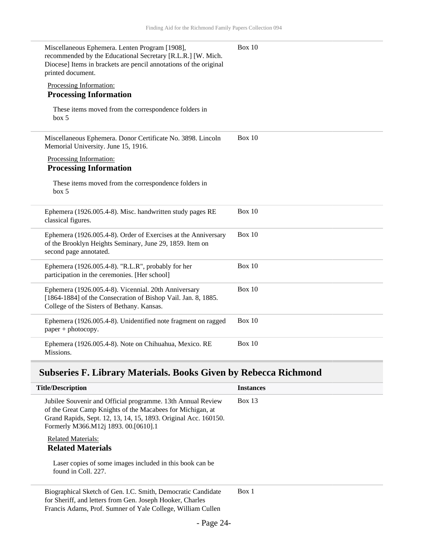| Miscellaneous Ephemera. Lenten Program [1908],<br>recommended by the Educational Secretary [R.L.R.] [W. Mich.<br>Diocese] Items in brackets are pencil annotations of the original<br>printed document. | Box 10        |
|---------------------------------------------------------------------------------------------------------------------------------------------------------------------------------------------------------|---------------|
| Processing Information:<br><b>Processing Information</b>                                                                                                                                                |               |
| These items moved from the correspondence folders in<br>box 5                                                                                                                                           |               |
| Miscellaneous Ephemera. Donor Certificate No. 3898. Lincoln<br>Memorial University. June 15, 1916.                                                                                                      | Box 10        |
| Processing Information:<br><b>Processing Information</b>                                                                                                                                                |               |
| These items moved from the correspondence folders in<br>box~5                                                                                                                                           |               |
| Ephemera (1926.005.4-8). Misc. handwritten study pages RE<br>classical figures.                                                                                                                         | <b>Box 10</b> |
| Ephemera (1926.005.4-8). Order of Exercises at the Anniversary<br>of the Brooklyn Heights Seminary, June 29, 1859. Item on<br>second page annotated.                                                    | Box $10$      |
| Ephemera (1926.005.4-8). "R.L.R", probably for her<br>participation in the ceremonies. [Her school]                                                                                                     | Box 10        |
| Ephemera (1926.005.4-8). Vicennial. 20th Anniversary<br>[1864-1884] of the Consecration of Bishop Vail. Jan. 8, 1885.<br>College of the Sisters of Bethany. Kansas.                                     | <b>Box 10</b> |
| Ephemera (1926.005.4-8). Unidentified note fragment on ragged<br>paper + photocopy.                                                                                                                     | <b>Box 10</b> |
| Ephemera (1926.005.4-8). Note on Chihuahua, Mexico. RE<br>Missions.                                                                                                                                     | Box $10$      |

## <span id="page-23-0"></span>**Subseries F. Library Materials. Books Given by Rebecca Richmond**

| <b>Title/Description</b>                                                                                                                                                                                                             | <b>Instances</b> |
|--------------------------------------------------------------------------------------------------------------------------------------------------------------------------------------------------------------------------------------|------------------|
| Jubilee Souvenir and Official programme. 13th Annual Review<br>of the Great Camp Knights of the Macabees for Michigan, at<br>Grand Rapids, Sept. 12, 13, 14, 15, 1893. Original Acc. 160150.<br>Formerly M366.M12j 1893. 00.[0610].1 | Box 13           |
| <b>Related Materials:</b><br><b>Related Materials</b><br>Laser copies of some images included in this book can be                                                                                                                    |                  |
| found in Coll. 227.                                                                                                                                                                                                                  |                  |
| Biographical Sketch of Gen. I.C. Smith, Democratic Candidate<br>for Sheriff, and letters from Gen. Joseph Hooker, Charles<br>Francis Adams, Prof. Sumner of Yale College, William Cullen                                             | Box 1            |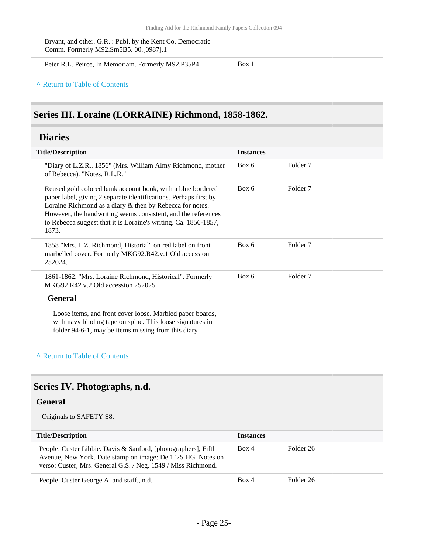Bryant, and other. G.R. : Publ. by the Kent Co. Democratic Comm. Formerly M92.Sm5B5. 00.[0987].1

Peter R.L. Peirce, In Memoriam. Formerly M92.P35P4. Box 1

#### **^** [Return to Table of Contents](#page-1-0)

### <span id="page-24-0"></span>**Series III. Loraine (LORRAINE) Richmond, 1858-1862.**

### <span id="page-24-1"></span>**Diaries**

| <b>Title/Description</b> |                                                                                                                                                                                                                                                                                                                                          | <b>Instances</b> |                     |
|--------------------------|------------------------------------------------------------------------------------------------------------------------------------------------------------------------------------------------------------------------------------------------------------------------------------------------------------------------------------------|------------------|---------------------|
|                          | "Diary of L.Z.R., 1856" (Mrs. William Almy Richmond, mother<br>of Rebecca). "Notes. R.L.R."                                                                                                                                                                                                                                              | Box 6            | Folder 7            |
|                          | Reused gold colored bank account book, with a blue bordered<br>paper label, giving 2 separate identifications. Perhaps first by<br>Loraine Richmond as a diary & then by Rebecca for notes.<br>However, the handwriting seems consistent, and the references<br>to Rebecca suggest that it is Loraine's writing. Ca. 1856-1857,<br>1873. | Box 6            | Folder <sub>7</sub> |
|                          | 1858 "Mrs. L.Z. Richmond, Historial" on red label on front<br>marbelled cover. Formerly MKG92.R42.v.1 Old accession<br>252024.                                                                                                                                                                                                           | Box 6            | Folder <sub>7</sub> |
|                          | 1861-1862. "Mrs. Loraine Richmond, Historical". Formerly<br>MKG92, R42 v.2 Old accession 252025.                                                                                                                                                                                                                                         | Box 6            | Folder <sub>7</sub> |
|                          | <b>General</b>                                                                                                                                                                                                                                                                                                                           |                  |                     |
|                          | Loose items, and front cover loose. Marbled paper boards,<br>with navy binding tape on spine. This loose signatures in<br>folder 94-6-1, may be items missing from this diary                                                                                                                                                            |                  |                     |

#### **^** [Return to Table of Contents](#page-1-0)

## <span id="page-24-2"></span>**Series IV. Photographs, n.d.**

#### **General**

Originals to SAFETY S8.

| <b>Title/Description</b>                                                                                                                                                                        | <b>Instances</b> |           |
|-------------------------------------------------------------------------------------------------------------------------------------------------------------------------------------------------|------------------|-----------|
| People. Custer Libbie. Davis & Sanford, [photographers], Fifth<br>Avenue, New York. Date stamp on image: De 1 '25 HG. Notes on<br>verso: Custer, Mrs. General G.S. / Neg. 1549 / Miss Richmond. | Box 4            | Folder 26 |
| People. Custer George A. and staff., n.d.                                                                                                                                                       | Box 4            | Folder 26 |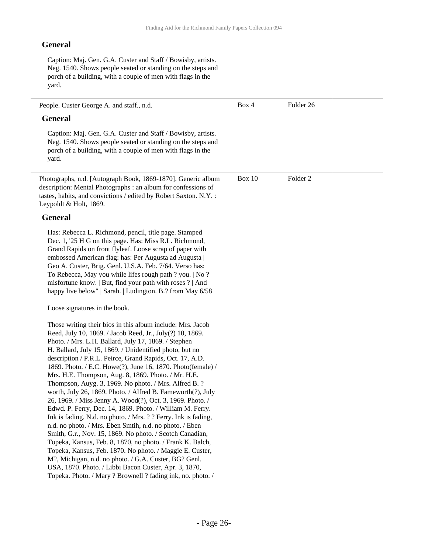#### **General**

Caption: Maj. Gen. G.A. Custer and Staff / Bowisby, artists. Neg. 1540. Shows people seated or standing on the steps and porch of a building, with a couple of men with flags in the yard.

People. Custer George A. and staff., n.d. **General** Caption: Maj. Gen. G.A. Custer and Staff / Bowisby, artists. Neg. 1540. Shows people seated or standing on the steps and porch of a building, with a couple of men with flags in the yard. Box 4 Folder 26 Photographs, n.d. [Autograph Book, 1869-1870]. Generic album description: Mental Photographs : an album for confessions of tastes, habits, and convictions / edited by Robert Saxton. N.Y. : Leypoldt & Holt, 1869. **General** Has: Rebecca L. Richmond, pencil, title page. Stamped Dec. 1, '25 H G on this page. Has: Miss R.L. Richmond, Grand Rapids on front flyleaf. Loose scrap of paper with embossed American flag: has: Per Augusta ad Augusta | Geo A. Custer, Brig. Genl. U.S.A. Feb. 7/64. Verso has: To Rebecca, May you while lifes rough path ? you. | No ? misfortune know. | But, find your path with roses ? | And happy live below" | Sarah. | Ludington. B.? from May 6/58 Loose signatures in the book. Those writing their bios in this album include: Mrs. Jacob Reed, July 10, 1869. / Jacob Reed, Jr., July(?) 10, 1869. Photo. / Mrs. L.H. Ballard, July 17, 1869. / Stephen H. Ballard, July 15, 1869. / Unidentified photo, but no description / P.R.L. Peirce, Grand Rapids, Oct. 17, A.D. 1869. Photo. / E.C. Howe(?), June 16, 1870. Photo(female) / Mrs. H.E. Thompson, Aug. 8, 1869. Photo. / Mr. H.E. Thompson, Auyg. 3, 1969. No photo. / Mrs. Alfred B. ? worth, July 26, 1869. Photo. / Alfred B. Fameworth(?), July 26, 1969. / Miss Jenny A. Wood(?), Oct. 3, 1969. Photo. / Edwd. P. Ferry, Dec. 14, 1869. Photo. / William M. Ferry. Ink is fading. N.d. no photo. / Mrs. ? ? Ferry. Ink is fading, n.d. no photo. / Mrs. Eben Smtih, n.d. no photo. / Eben Smith, G.r., Nov. 15, 1869. No photo. / Scotch Canadian, Topeka, Kansus, Feb. 8, 1870, no photo. / Frank K. Balch, Topeka, Kansus, Feb. 1870. No photo. / Maggie E. Custer, M?, Michigan, n.d. no photo. / G.A. Custer, BG? Genl. USA, 1870. Photo. / Libbi Bacon Custer, Apr. 3, 1870, Topeka. Photo. / Mary ? Brownell ? fading ink, no. photo. / Box 10 Folder 2